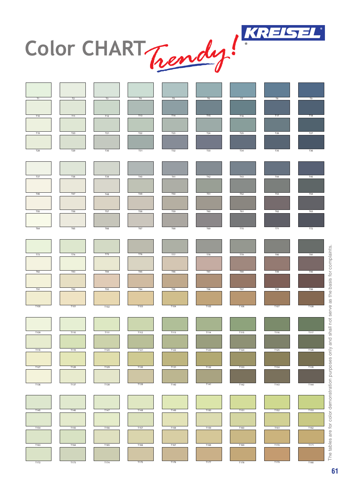

Color CHART Trendy!

| T1             | T2         | T3         | T4         | T5         | T6         | T7              | T8             | T <sub>9</sub> |
|----------------|------------|------------|------------|------------|------------|-----------------|----------------|----------------|
|                |            |            |            |            |            |                 |                |                |
| T10            | T11        | T12        | T13        | T14        | T15        | T16             | T17            | T18            |
|                |            |            |            |            |            |                 |                |                |
| T19            | T20        | T21        | T22        | T23        | T24        | T <sub>25</sub> | $\mathsf{T}26$ | $T27$          |
|                |            |            |            |            |            |                 |                |                |
| $\mathsf{T}28$ | T29        | <b>T30</b> | T31        | T32        | T33        | $\mathsf{T}34$  | T35            | T36            |
|                |            |            |            |            |            |                 |                |                |
|                |            |            |            |            |            |                 |                |                |
| T37            | T38        | T39        | <b>T40</b> | T41        | <b>T42</b> | T43             | <b>T44</b>     | T45            |
|                |            |            |            |            |            |                 |                |                |
| <b>T46</b>     | T47        | T48        | T49        | <b>T50</b> | <b>T51</b> | <b>T52</b>      | <b>T53</b>     | $\mathsf{T}54$ |
|                |            |            |            |            |            |                 |                |                |
| <b>T55</b>     | <b>T56</b> | <b>T57</b> | <b>T58</b> | <b>T59</b> | <b>T60</b> | <b>T61</b>      | T62            | <b>T63</b>     |
|                |            |            |            |            |            |                 |                |                |
| <b>T64</b>     | <b>T65</b> | <b>T66</b> | <b>T67</b> | <b>T68</b> | T69        | <b>T70</b>      | T71            | T72            |
|                |            |            |            |            |            |                 |                |                |
|                |            |            |            |            |            |                 |                |                |
| T73            | T74        | T75        | <b>T76</b> | <b>T77</b> | T78        | T79             | <b>T80</b>     | T81            |
|                |            |            |            |            |            |                 |                |                |
| T82            | T83        | T84        | T85        | <b>T86</b> | <b>T87</b> | <b>T88</b>      | T89            | T90            |
| T91            | T92        | T93        | T94        | T95        | T96        | T97             | T98            | T99            |
|                |            |            |            |            |            |                 |                |                |
| T100           | T101       | T102       | T103       | T104       | T105       | T106            | T107           | T108           |
|                |            |            |            |            |            |                 |                |                |
|                |            |            |            |            |            |                 |                |                |
| T109           | T110       | T111       | T112       | T113       | T114       | T115            | T116           | T117           |
|                |            |            |            |            |            |                 |                |                |
| T118           | T119       | T120       | T121       | T122       | T123       | T124            | T125           | T126           |
|                |            |            |            |            |            |                 |                |                |
| T127           | T128       | T129       | T130       | T131       | T132       | T133            | T134           | T135           |
|                |            |            |            |            |            |                 |                |                |
| T136           | T137       | T138       | T139       | T140       | T141       | T142            | T143           | T144           |
|                |            |            |            |            |            |                 |                |                |
|                |            |            |            |            |            |                 |                |                |
| T145           | T146       | T147       | T148       | T149       | T150       | T151            | T152           | T153           |
|                |            |            |            |            |            |                 |                |                |
| T154           | T155       | T156       | T157       | T158       | T159       | T160            | T161           | T162           |
|                |            |            |            |            |            |                 |                |                |
| T163           | T164       | T165       | T166       | T167       | T168       | T169            | T170           | T171           |
|                |            |            |            |            |            |                 |                |                |
| T172           | T173       | T174       | T175       | T176       | T177       | T178            | T179           | T180           |

The tables are for color demonstration purposes only and shall not serve as the basis for complaints. The tables are for color demonstration purposes only and shall not serve as the basis for complaints.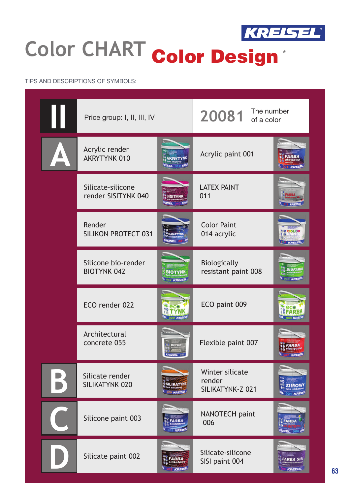

## **Color CHART color Design** Color Design

## TIPS AND DESCRIPTIONS OF SYMBOLS:

| ı | Price group: I, II, III, IV               |                               | The number<br>20081<br>of a color             |                               |
|---|-------------------------------------------|-------------------------------|-----------------------------------------------|-------------------------------|
|   | Acrylic render<br>AKRYTYNK 010            |                               | Acrylic paint 001                             |                               |
|   | Silicate-silicone<br>render SISITYNK 040  |                               | <b>LATEX PAINT</b><br>011                     |                               |
|   | Render<br><b>SILIKON PROTECT 031</b>      | <b>VREISEI</b>                | <b>Color Paint</b><br>014 acrylic             | COLO                          |
|   | Silicone bio-render<br><b>BIOTYNK 042</b> | <b>BIOTYNK</b><br>042 KREISEL | Biologically<br>resistant paint 008           | <b>BIOFARE</b><br>008 KREISE  |
|   | ECO render 022                            |                               | ECO paint 009                                 |                               |
|   | Architectural<br>concrete 055             | <b>BETON</b>                  | Flexible paint 007                            | $\sim 007$ KREP               |
|   | Silicate render<br>SILIKATYNK 020         | <b>ILIKATY</b><br>20 KREISEL  | Winter silicate<br>render<br>SILIKATYNK-Z 021 |                               |
|   | Silicone paint 003                        | 'ARB<br>KREIS                 | NANOTECH paint<br>006                         | <b>FARBA</b><br><b>REISEL</b> |
|   | Silicate paint 002                        | KREISE                        | Silicate-silicone<br>SISI paint 004           | KREISEL                       |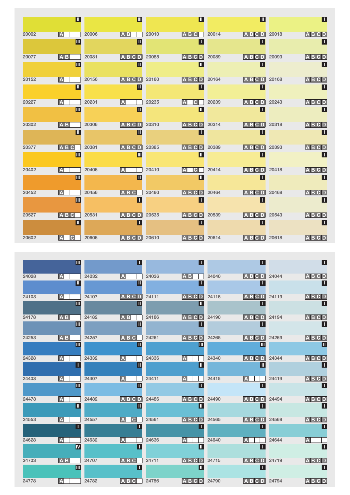|       | $\blacksquare$ |       | $\blacksquare$          |       | $\overline{\mathbb{L}}$ |       | $\overline{\mathbb{L}}$ |       | $\mathsf \Pi$   |
|-------|----------------|-------|-------------------------|-------|-------------------------|-------|-------------------------|-------|-----------------|
| 20002 | IA.            | 20006 | <b>AB</b>               | 20010 | <b>ABC</b>              | 20014 | <b>ABCD</b>             | 20018 | $A$ $B$ $C$ $D$ |
|       | $\blacksquare$ |       | $\overline{\mathbb{L}}$ |       | Ш                       |       | Ш                       |       | $\mathbf{L}$    |
| 20077 | <b>AB</b>      | 20081 | <b>ABCD</b>             | 20085 | <b>ABCD</b>             | 20089 | <b>ABCD</b>             | 20093 | <b>ABCD</b>     |
|       | $\blacksquare$ |       | ℿ                       |       | $\overline{\mathbb{L}}$ |       | $\blacksquare$          |       | $\blacksquare$  |
| 20152 | IA.            | 20156 | D<br><b>ABC</b>         | 20160 | <b>AB</b><br>D<br>C.    | 20164 | D<br><b>AB</b><br>C.    | 20168 | <b>ABCD</b>     |
|       | $\blacksquare$ |       | Ш                       |       | Ш                       |       | ⊔                       |       | $\blacksquare$  |
| 20227 | IA.            | 20231 | IA                      | 20235 | IA.<br>C.               | 20239 | <b>ABCD</b>             | 20243 | <b>ABCD</b>     |
|       | $\blacksquare$ |       | $\blacksquare$          |       | $\blacksquare$          |       | $\mathsf{L}$            |       | $\blacksquare$  |
| 20302 | <b>AB</b>      | 20306 | <b>ABCD</b>             | 20310 | <b>ABCD</b>             | 20314 | <b>ABCD</b>             | 20318 | ABCD            |
|       | Ш              |       | Ш                       |       | П                       |       | Π                       |       | $\blacksquare$  |
| 20377 | $A$ B C        | 20381 | <b>ABCD</b>             | 20385 | <b>AB</b><br>D<br>C.    | 20389 | DI<br>IA BI<br>C.       | 20393 | <b>ABCD</b>     |
|       | $\blacksquare$ |       | $\blacksquare$          |       | $\blacksquare$          |       | $\mathsf{L}$            |       | $\blacksquare$  |
| 20402 | <b>A</b>       | 20406 | A                       | 20410 | IA.<br>C.               | 20414 | <b>ABCD</b>             | 20418 | <b>ABCD</b>     |
|       | $\blacksquare$ |       | $\blacksquare$          |       | $\blacksquare$          |       | П                       |       | ╙               |
| 20452 | IA.            | 20456 | <b>ABC</b>              | 20460 | <b>ABCD</b>             | 20464 | <b>ABC</b><br>DI        | 20468 | <b>ABCD</b>     |
|       | $\blacksquare$ |       | П                       |       | П                       |       | $\mathsf{L}$            |       | $\blacksquare$  |
| 20527 | ABC            | 20531 | <b>ABCD</b>             | 20535 | <b>AB</b><br>CD         | 20539 | n.<br>IA BI<br>C.       | 20543 | <b>ABCD</b>     |
|       | $\blacksquare$ |       | Ш                       |       | Ш                       |       | $\Box$                  |       | $\blacksquare$  |
| 20602 | C.<br>IA.      | 20606 | <b>ABCD</b>             | 20610 | <b>ABCD</b>             | 20614 | <b>ABCD</b>             | 20618 | <b>ABCD</b>     |

|       | Ш                            |       |                              |       | Ш                            |       | п.               |       | П                                 |
|-------|------------------------------|-------|------------------------------|-------|------------------------------|-------|------------------|-------|-----------------------------------|
| 24028 | A<br>Ш                       | 24032 | A<br>Ш                       | 24036 | <b>AB</b><br>Ш               | 24040 | <b>ABCD</b><br>ш | 24044 | <b>ABCD</b><br>П                  |
| 24103 | IA.                          | 24107 | <b>ABCD</b>                  | 24111 | <b>ABCD</b>                  | 24115 | <b>ABCD</b>      | 24119 | <b>ABCD</b>                       |
|       | Ш                            |       | Ш                            |       | Ш                            |       | Т.               |       | П                                 |
| 24178 | A B <br>Ш                    | 24182 | AB<br>Ш                      | 24186 | <b>ABCD</b><br>П             | 24190 | <b>ABCD</b><br>П | 24194 | <b>ABCD</b><br>П                  |
|       |                              |       |                              |       |                              |       |                  |       |                                   |
| 24253 | <b>AB</b><br>$\blacksquare$  | 24257 | ABC<br>Ш                     | 24261 | <b>ABCD</b><br>Ш             | 24265 | <b>ABCD</b><br>m | 24269 | $A$ $B$ $C$ $D$<br>$\blacksquare$ |
|       |                              |       |                              |       |                              |       |                  |       |                                   |
| 24328 | A<br>-1                      | 24332 | A<br>Ш                       | 24336 | $\overline{\mathbf{A}}$<br>Ш | 24340 | <b>ABCD</b><br>Ш | 24344 | ABCD<br>П                         |
| 24403 |                              | 24407 |                              | 24411 |                              | 24415 |                  | 24419 |                                   |
|       | $\overline{\mathbf{A}}$<br>Ш |       | $\overline{\mathbf{A}}$<br>Ш |       | $\overline{\mathbf{A}}$<br>П |       | IA.<br>Ш         |       | <b>ABCD</b><br>П                  |
| 24478 | A                            | 24482 | ABCD                         | 24486 | <b>ABCD</b>                  | 24490 | <b>ABCD</b>      | 24494 | <b>ABCD</b>                       |
|       | Ш                            |       | Ш                            |       | Ш                            |       | П.               |       | П                                 |
| 24553 | IA.                          | 24557 | $\mathbf{C}$<br>IA.          | 24561 | <b>ABCD</b>                  | 24565 | ABCD             | 24569 | <b>ABCD</b>                       |
|       | ш                            |       | Ш                            |       | Ш                            |       | Ш                |       | П                                 |
| 24628 | $\overline{\mathbf{A}}$      | 24632 | $\overline{\mathbf{A}}$      | 24636 | $\overline{\mathbf{A}}$      | 24640 | IA.              | 24644 | IA.                               |
|       | IV                           |       | Ш                            |       | $\blacksquare$               |       | Н.               |       | П                                 |
| 24703 | <b>AB</b>                    | 24707 | ABC                          | 24711 | <b>ABCD</b>                  | 24715 | <b>ABCD</b>      | 24719 | ABCD                              |
|       | Ш                            |       | Ш                            |       | Ш                            |       | П                |       | П                                 |
| 24778 | $\vert$ A                    | 24782 | $A$ B C                      | 24786 | $A$ BCD                      | 24790 | $A$ B C D        | 24794 | ABCD                              |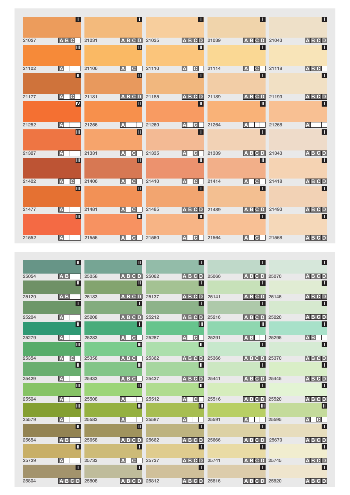|       | $\blacksquare$                             |       | П                                       |       | $\boldsymbol{\Pi}$            |       | $\mathsf \Pi$                           |       | $\blacksquare$         |
|-------|--------------------------------------------|-------|-----------------------------------------|-------|-------------------------------|-------|-----------------------------------------|-------|------------------------|
| 21027 | <b>ABC</b>                                 | 21031 | <b>ABCD</b>                             | 21035 | ABCD                          | 21039 | ABCD                                    | 21043 | ABCD                   |
|       | Ш                                          |       | $\overline{\mathbf{u}}$                 |       | $\overline{\mathbb{L}}$       |       | Π                                       |       | $\blacksquare$         |
| 21102 | $\boxed{\mathbf{A}}$                       | 21106 | IA.<br>$ {\bf C} $                      | 21110 | $ {\bf C} $<br>IA.            | 21114 | $ {\bf C} $<br>IA.<br>Π                 | 21118 | $A$ $B$ $C$            |
|       | π                                          |       | π                                       |       | Π                             |       |                                         |       | П                      |
| 21177 | $\vert$ A<br>$ {\bf C} $                   | 21181 | ABCD                                    | 21185 | <b>ABCD</b>                   | 21189 | $A$ BCD                                 | 21193 | ABCD                   |
|       | IV                                         |       | ℿ                                       |       | $\blacksquare$                |       | $\overline{\mathbb{I}}$                 |       | $\blacksquare$         |
| 21252 | $\boxed{\mathbf{A}}$                       | 21256 | IA.                                     | 21260 | $ {\bf C} $<br>IA.            | 21264 | IA.                                     | 21268 | IA.                    |
|       | $\blacksquare$                             |       | $\blacksquare$                          |       | $\boldsymbol{\Pi}$            |       | П                                       |       | $\blacksquare$         |
| 21327 | $\overline{A}$                             | 21331 | IA.<br>$ {\bf C} $                      | 21335 | $ {\bf C} $<br>IA.            | 21339 | <b>ABCD</b>                             | 21343 | <b>ABCD</b>            |
|       | Ш                                          |       | $\overline{\mathbb{I}}$                 |       | $\vert \mathbb{I} \vert$      |       | $\blacksquare$                          |       | $\blacksquare$         |
| 21402 | A<br>C.                                    | 21406 | IA.<br>$\mathbf{C}$                     | 21410 | $\mathbf C$<br>IA.            | 21414 | $\mathsf{C}$<br>IA.                     | 21418 | ABCD                   |
|       | Ш                                          |       | π                                       |       | H.                            |       | Π                                       |       | $\blacksquare$         |
| 21477 | $\vert \mathbb{A} \vert$<br>$\blacksquare$ | 21481 | C.<br>IA<br>$\blacksquare$              | 21485 | <b>ABCD</b><br>$\blacksquare$ | 21489 | C.<br>D<br>IA.<br>в<br>Π                | 21493 | ABCD<br>$\blacksquare$ |
|       |                                            |       |                                         |       |                               |       |                                         |       |                        |
| 21552 | $\vert \mathbf{A} \vert$                   | 21556 | $ {\bf C} $<br>$\vert \mathbf{A} \vert$ | 21560 | $\mathbf C$<br>$\mathbb{A}$   | 21564 | $ {\bf C} $<br>$\vert \mathbf{A} \vert$ | 21568 | ABCD                   |

|       | Ш                            |       | Ш                       |       | Ш                                         |       | Ш                   |       | Ш                       |
|-------|------------------------------|-------|-------------------------|-------|-------------------------------------------|-------|---------------------|-------|-------------------------|
| 25054 | <b>AB</b>                    | 25058 | <b>ABCD</b>             | 25062 | <b>ABCD</b>                               | 25066 | <b>ABCD</b>         | 25070 | <b>ABCD</b>             |
|       | $\blacksquare$               |       | Ш                       |       | П                                         |       | Ш                   |       | Ш                       |
| 25129 | $A$ $B$                      | 25133 | <b>ABCD</b>             | 25137 | <b>ABCD</b>                               | 25141 | <b>ABCD</b>         | 25145 | <b>ABCD</b>             |
|       | П                            |       | Ш                       |       | Ш                                         |       | Ш                   |       | П                       |
| 25204 | IA.                          | 25208 | <b>ABCD</b>             | 25212 | <b>ABCD</b>                               | 25216 | $A$ BCD             | 25220 | <b>ABCD</b>             |
|       | Ш                            |       | Ш                       |       | Ш                                         |       | $\blacksquare$      |       | Ш                       |
| 25279 | $ {\bf A} $                  | 25283 | $ {\bf C} $<br>A        | 25287 | $ {\bf C} $<br>IA.                        | 25291 | <b>AB</b>           | 25295 | <b>AB</b>               |
|       | Ш                            |       | Ш                       |       | Ш                                         |       | Π                   |       | П                       |
| 25354 | A<br>$\overline{\mathbf{C}}$ | 25358 | <b>ABC</b>              | 25362 | $A$ $B$ $C$ $D$                           | 25366 | ABCD                | 25370 | <b>ABCD</b>             |
|       | Ш                            |       | Ш                       |       | Ш                                         |       | Ш                   |       | П                       |
| 25429 | IA.                          | 25433 | <b>ABC</b>              | 25437 | <b>ABCD</b>                               | 25441 | $A$ B C D           | 25445 | <b>ABCD</b>             |
|       | Ш                            |       | $\blacksquare$          |       | $\blacksquare$                            |       | Ш                   |       | $\mathbf{L}$            |
| 25504 | $\vert$ A                    | 25508 | $\overline{\mathbf{A}}$ | 25512 | $\overline{\mathsf{A}}$<br>$\overline{C}$ | 25516 | $A$ BCD             | 25520 | $A$ $B$ $C$ $D$         |
|       | Ш                            |       | Ш                       |       | ▥                                         |       | $\blacksquare$      |       | Ш                       |
| 25579 | IA.                          | 25583 | A                       | 25587 | IA.                                       | 25591 | IA.                 | 25595 | <b>A</b><br>$ {\bf C} $ |
|       | Ш                            |       | Ш                       |       | П                                         |       | Π                   |       | П                       |
| 25654 | <b>AB</b>                    | 25658 | <b>ABCD</b>             | 25662 | $A$ B C D                                 | 25666 | <b>ABCD</b>         | 25670 | <b>ABCD</b>             |
|       | $\blacksquare$               |       | П                       |       | ш                                         |       | $\mathbf \mathsf I$ |       | $\blacksquare$          |
| 25729 | $ \mathbf{A} $               | 25733 | $ {\bf C} $<br>IA.      | 25737 | <b>ABCD</b>                               | 25741 | <b>ABCD</b>         | 25745 | <b>ABCD</b>             |
|       | П                            |       | Ш                       |       | П                                         |       | Ш                   |       | $\mathbf \mathsf I$     |
| 25804 | <b>ABCD</b>                  | 25808 | $A$ $B$ $C$ $D$         | 25812 | <b>ABCD</b>                               | 25816 | <b>ABCD</b>         | 25820 | <b>ABCD</b>             |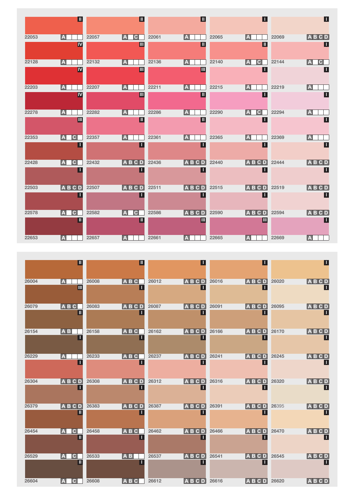|       | Ш                       |       | $\blacksquare$           |       | $\overline{\mathbb{L}}$ |       | $\overline{\mathsf{L}}$                |       | $\blacksquare$     |
|-------|-------------------------|-------|--------------------------|-------|-------------------------|-------|----------------------------------------|-------|--------------------|
| 22053 | $\overline{A}$          | 22057 | <b>A</b><br>$ {\bf C} $  | 22061 | $\overline{A}$          | 22065 | $\overline{A}$                         | 22069 | ABCD               |
|       | <b>IV</b>               |       | $\blacksquare$           |       | $\blacksquare$          |       | $\mathbf{u}$                           |       | $\boldsymbol{\Pi}$ |
| 22128 | A                       | 22132 | A                        | 22136 | $\boxed{\mathbf{A}}$    | 22140 | $ {\bf C} $<br>l A                     | 22144 | $ {\bf c} $<br>IA. |
|       | $\overline{\mathbf{N}}$ |       | $\blacksquare$           |       | $\blacksquare$          |       | П                                      |       | $\blacksquare$     |
| 22203 | A                       | 22207 | IA.                      | 22211 | $\vert \bm{A} \vert$    | 22215 | l A                                    | 22219 | A                  |
|       | <b>IV</b>               |       | $\blacksquare$           |       | π                       |       | π                                      |       | $\blacksquare$     |
| 22278 | IA.                     | 22282 | l A                      | 22286 | $\overline{A}$          | 22290 | $\overline{\mathbb{A}}$<br>$ {\bf C} $ | 22294 | IA.                |
|       | Ш                       |       | $\vert \textbf{I} \vert$ |       | $\blacksquare$          |       | П                                      |       | $\blacksquare$     |
| 22353 | IA.<br>$\mathbf{C}$     | 22357 | IA.                      | 22361 | $\overline{A}$          | 22365 | l A                                    | 22369 | IA.                |
|       | Ш                       |       | П                        |       | Ш                       |       | Π                                      |       | $\blacksquare$     |
| 22428 | IA.<br>C.               | 22432 | <b>ABCD</b>              | 22436 | <b>ABCD</b>             | 22440 | <b>ABCD</b>                            | 22444 | ABCD               |
|       | п                       |       | Ш                        |       | ш                       |       | Π                                      |       | $\blacksquare$     |
| 22503 | <b>ABCD</b>             | 22507 | ABCD                     | 22511 | <b>ABCD</b>             | 22515 | ABCD                                   | 22519 | ABCD               |
|       | Ш                       |       | Ш                        |       | Π                       |       | $\overline{\mathbf{L}}$                |       | $\blacksquare$     |
| 22578 | A<br>$ {\bf C} $        | 22582 | $ {\bf C} $<br>IA        | 22586 | ABCD                    | 22590 | <b>ABCD</b>                            | 22594 | ABCD               |
|       | Ш                       |       | $\blacksquare$           |       | Ш                       |       | $\blacksquare$                         |       | $\blacksquare$     |
| 22653 | A                       | 22657 | A                        | 22661 | $\vert$ A               | 22665 | IA.                                    | 22669 | A                  |

|       | Ш                              |       | Ш                |       | Ш                 |       | Ш                         |       | $\blacksquare$              |
|-------|--------------------------------|-------|------------------|-------|-------------------|-------|---------------------------|-------|-----------------------------|
| 26004 | $\overline{A}$<br>Ш            | 26008 | ABC<br>Т.        | 26012 | <b>ABCD</b><br>Т  | 26016 | <b>ABCD</b><br>П          | 26020 | <b>ABCD</b><br>$\mathsf{L}$ |
| 26079 | ABC<br>Ш                       | 26083 | ABCD<br>Т.       | 26087 | <b>ABCD</b><br>п  | 26091 | $\overline{A}$ B C D<br>Ш | 26095 | ABCD<br>$\mathbf \mathsf I$ |
| 26154 | AB<br>П                        | 26158 | ABC<br>П         | 26162 | ABCD<br>-1        | 26166 | <b>ABCD</b><br>П          | 26170 | <b>ABCD</b><br>П            |
| 26229 | $\mathbf{A}$<br>П              | 26233 | ABC<br>H.        | 26237 | ABCD<br>ш         | 26241 | <b>ABCD</b><br>Ш          | 26245 | ABCD<br>П                   |
| 26304 | ABCD                           | 26308 | ABCD             | 26312 | <b>ABCD</b>       | 26316 | ABCD                      | 26320 | ABCD                        |
| 26379 | ш<br>ABCD                      | 26383 | T.<br>ABCD       | 26387 | п<br><b>ABCD</b>  | 26391 | П<br><b>ABCD</b>          | 26395 | П<br>ABCD                   |
| 26454 | Ш<br>A<br>$\mathbf{C}$         | 26458 | Т.<br><b>ABC</b> | 26462 | п<br><b>ABCD</b>  | 26466 | П<br><b>ABCD</b>          | 26470 | ABCD                        |
|       | Ш                              |       | п                |       | п                 |       | П                         |       | $\overline{\mathsf{L}}$     |
| 26529 | IA.<br>$\mathsf{C}$<br>Ш       | 26533 | <b>AB</b><br>П   | 26537 | <b>ABCD</b><br>-1 | 26541 | <b>ABCD</b><br>П          | 26545 | <b>ABCD</b><br>П            |
| 26604 | $\overline{\mathbf{C}}$<br>IA. | 26608 | ABC              | 26612 | <b>ABCD</b>       | 26616 | $\overline{A}$ B C D      | 26620 | ABCD                        |